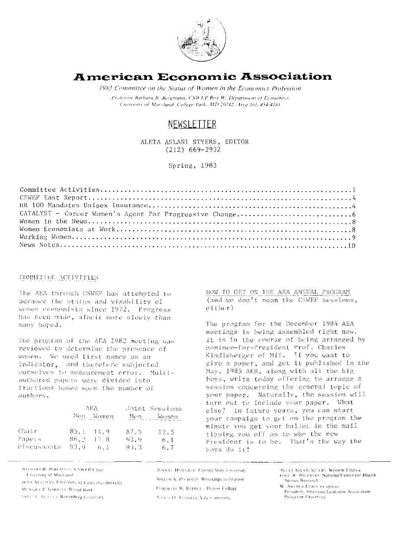

# **American Economic Association** 1983 Committee on the Status of Women in the Economics Profession

Professor Barbara R. Bergmann, CSWEP Box W, Department of Economics University of Maryland, College Park, MD 20742, Area 301, 454-4181.

# **NEWSLETTER**

ALETA ASLANI STYERS, EDITOR  $(212)$  669-2932

Spring, 1983

#### COMMITTEE ACTIVITIES

The AEA through CSWEP has attempted to advance the status and visability of Women economists since 1972. Progress has been made, albeit more slowly than many hoped.

The program of the AEA 1982 meeting was reviewed to determine the presence of women. We used first names as an indicator, and therefore subjected ourselves to measurement error. Multiauthored papers were divided into fractions based upon the number of authors.

|             | AEA. |                   | Joint Sessions |         |
|-------------|------|-------------------|----------------|---------|
|             |      | Nen Women         | Men            | – Women |
| Chair       |      | $85.1 \quad 14.9$ | 87.5           | 12.5    |
| Papers      |      | $86.2 - 13.8$     | -93.9          | 6.1     |
| Discussants | 93.9 | 6. 1              | 93.3           | 6.7     |

HOW TO GET ON THE AEA ANNUAL PROGRAM (and we don't mean the CSWEP sessions, either)

The program for the December 1984 AEA meetings is being assembled right now. It is in the course of being arranged by nominee-for-President Prof. Charles Kindleberger of MIT. If you want to give a paper, and get it published in the Mav, 1985 AER, along with all the big boys, write today offering to arrange a session concerning the general topic of your paper. Naturally, the session will turn out to include your paper. What else? In future years, you can start your campaign to get on the program the minute you get your ballot in the mail tipping you off as to who the new President is to be. That's the way the hovs do it!

**BARIOXRA R. BURGMANN, UNWER Chair** University of Maryland IRMA ADELMAN, University of California-Berkeley MONDAE P. GARRITY, WOLG Bank, JANET C. GOUZEL Wiltenberg University

JOAN G. HAWORTH Florida State University JOSEPH A. POURMAN. Brookings Institution. CORDEDS W. REIMER's Humor College-Nascy D. Rudera's Aale Conversity.

ALLEN ASLANI STVERS, Western Electric GAH. R. WILENSKY, National Center for Health Service Research

W. ARTHUR LEWIS PY officio-President, American Economic Association Princeton University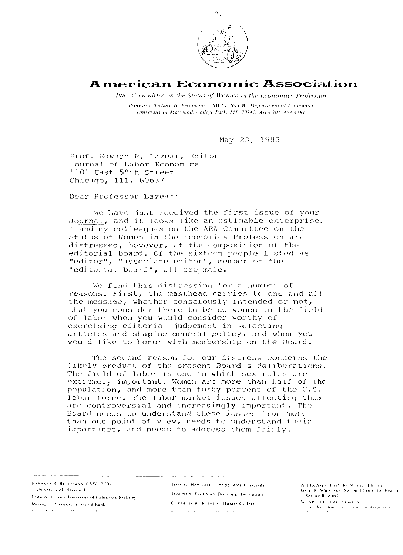

## **American Economic Association**

1983 Committee on the Status of Women in the Economics Profession Professor Barbara R. Bergmann, CSWTP Box W, Department of Feonomics University of Maryland, College Park, MD 20242, Area 301-454-4181.

May 23, 1983

Prof. Edward P. Lazear, Editor Journal of Labor Economics 1101 East 58th Street Chicago, Ill. 60637

Dear Professor Lazear:

We have just received the first issue of your Journal, and it looks like an estimable enterprise. I and my colleagues on the AEA Committee on the Status of Women in the Economics Profession are distressed, however, at the composition of the editorial board. Of the sixteen people listed as "editor", "associate editor", member of the "editorial board", all are male.

We find this distressing for a number of reasons. First, the masthead carries to one and all the message, whether consciously intended or not, that you consider there to be no women in the field of labor whom you would consider worthy of exercising editorial judgement in selecting articles and shaping general policy, and whom you would like to honor with membership on the Board.

The second reason for our distress concerns the likely product of the present Board's deliberations. The field of labor is one in which sex roles are extremely important. Women are more than half of the population, and more than forty percent of the U.S. labor force. The labor market issues affecting them are controversial and increasingly important. The Board needs to understand these issues from more than one point of view, needs to understand their importance, and needs to address them fairly.

**BARBARA R. BERGMANN, CSWLP Chair. Tiniversity of Maryland** IRMA ADEEMAN University of California Berkeley. MONIQUE P. GARRITY, World Bank **Lives C. C.** Grand Waller C.

JOAN G. HAWORTH, Florida State University. JOSECH A. PECHMAN. Brookings Institution. CORDELIA W. REIMERS, Hunter College

 $\sim 10^{11}$  km  $^{-1}$ 

ALEIA ASLANT STYLEN. Western Electric GAIL R. WILENSKY National Center for Health Service Research W. ARTHUR LEWIS 23 Officer

President: American Economic Association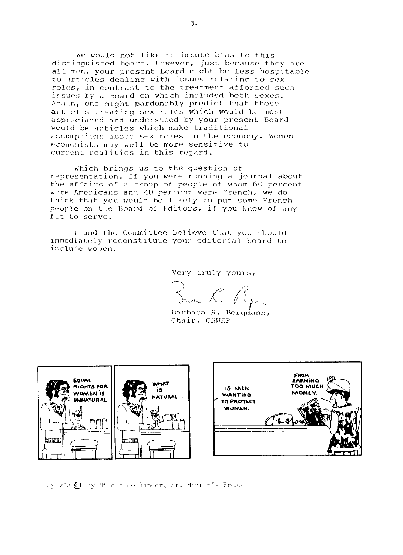We would not like to impute bias to this distinguished board. Ilowever, just because they are all men, your present Board might be less hospitable to articles dealing with issues relating to sex roles, in contrast to the treatment afforded such issues by a Board on which included both sexes. Again, one miqht pardonably predict that those articles treating sex roles which would be most appreciated and understood by your present Board would be articles which make traditional assumptions about sex roles in the cconomy. Women economists may well be more sensitive to current realities in this regard.

Which brings us to the question of representation. If you were running a journal about the affairs of **a** group of people of whom 60 percent were Americans and 40 percent were French, we do think that you would be likely to put some French people on the Board of Editors, if you knew of any fit to serve.

I and the Committee believe that you should immediately reconstitute your editorial board to include women.

Very truly yours,

Inn R. R.

Chair, CSWEP



Sylvia C by Nicole Hollander, St. Martin's Press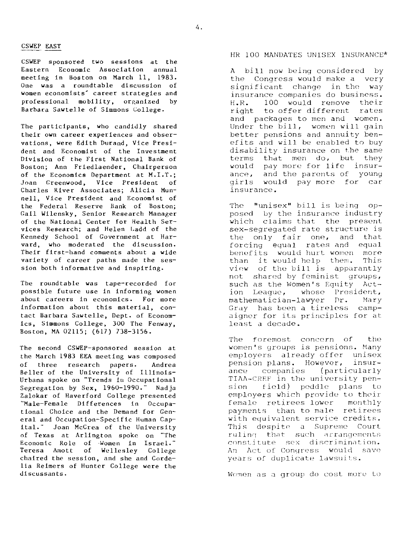CSWEP EAST<br>CSWEP sponsored CSWEP sponsored two sessions at the Eastern Economic Association annual meeting in Boston on March **11,** 1983. One was a roundtable discussion of women economists' career strategies and professional mobility, organized by Barbara Sawtelle of Simmons College.

The participants, who candidly shared their own career experiences and observations, were Edith Durand, Vice President and Economist of the Investment Division of the First National Bank of Boston; Ann Friedlaender, Chairperson of the Economics Department at M.I.T.; <Joan Greenwood. Vice President of Charles River Associates; Alicia Munnell, Vice President and Economist of the Federal Reserve Bank of Boston; Gail Wilensky, Senior Research Manager of the National Center for Health Services Research; and Helen Ladd of the Kennedy School of Government at Harvard, who moderated the discussion. Their first-hand comments about a wide variety of career paths made the session both informative and inspiring.

The roundtable was tape-recorded for possible future use in informing women about careers in economics. For more information about this material, contact Barbara Sawtelle, Dept. of Economics, Simmons College, 300 The Fenway, Boston, MA 02115; (617) 738-3156.

The second CSWEP-sponsored session at the March 1983 EEA meeting was composed of three research papers. Andrea Beller of the University of Illinois-Urbana spoke on "Trends iu Occupational Segregation by Sex, 1960-1990." Nadja Zalokar of Haverford College presented "Male-Female Differences in Occupational Choice and the Demand for General and Occupation-Specific Human Capital." Joan McCrea of the University of Texas at Arlington spokc on "The Economic Role of Women in Israel." Teresa Amott of Wellesley College chaired the session, and she and Cordelia Keimers of Hunter College were the discussants.

### HR 100 MANDATES UNISEX INSURANCE\*

A bill now being considered by the Congress would make a very significant change in the way insurance companies do business. H. R. 100 would remove their right to offer different rates and packages to men and women. Under the bill, women will gain better pensions and annuity benefits and will be enabled to buy disability insurance on the same terms that men do, but they would pay more for life insurance, and the parents of young girls would pay more for car insurance.

The "unisex" bill is being opposed by the insurance industry which claims that the present sex-segregated rate structure is the only fair one, and that forcing equal rates and equal benefits would hurt women more<br>than it would help them. This than it would help them. vicw of thc bill is apparantly not shared by feminist groups, such as the Women's Equity Act-<br>ion League, whose President, whose President,<br>Lawyer Dr. Mary, mathematician-lawyer Dr. Gray has been a tireless campaigner for its principles for at lcast a decade.

The foremost concern of the women's groups is pensions. Many employers already offer unisex<br>pension plans. However, insurpension plans. However, ance companies (particularly TTAA-CREF in the university pension field) pcddle plans to employers which provide to their female retirees lower monthly payments than to male retirees with equivalent service credits. This despite a Supreme Court ruling that such arrangements constitute sex discrimination. An Act of Congress would save years of duplicate lawsuits.

Women as a group do cost more to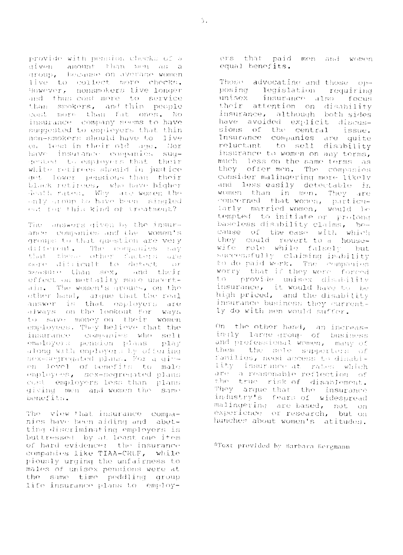provide with pension cleeks of a given amount than mon as a live to collect more checks. However, nonsmokers live longer and thus cost more to service than smokers, and thin people gost more than fat ones. No insurance company seems to have suggested to employers that thin non-smokers should have to live on less in their old age. Nor have insurance companies suggested to employers that their white retirees should in justice get lower pensions than their black retirees, who have higher death rates. Why are women the enly group to have been singled out for this kind of treatment?

The answers given by the insurance companies and the women's groups to that question are very different. The companies - tidy that theme other factors are more difficult to detect  $\sim 1.5$  Y measure than sex, and their effect on mortality more uncertain. The women's groups, on the other hand, arque that the real answer is that employers are always on the lookout for ways to save money on their women employees. They believe that the insurance companies who sell employers pension plans play along with employers by offering<br>sex-segregated plans. For a give on level of tenefits to male employees, sex-segregated plans cost employers less than plans giving men and women the same benefits.

The view that insurance companies have been aiding and abetting discriminating employers is buttressed by at least one ifem of hard evidence: the insurance companies like TIAA-CRUF, while piously urging the unfairness to males of unisex pensions were at the same time peddling group life insurance plans to employers that paid men and women equal benefits.

Those advocating and those opposing legislation requiring unisex. insurance also focus: their attention on disability insurance, although both sides have avoided explicit discussions of the central issue. Insurance companies are quite reluctant to sell disability insurance to women on any terms, much less on the same terms as they offer men. The companies consider malingering more likely and less easily detectable in women than in men. They are concerned that women, particutarly matried women, would be tempted to initiate or prolong baseless disability claims, because of the ease with which they could revert to a housewife role while falsely but successfully claiming inability to do paid work. The companies worry that if they were forced t.o. provide unisex disability insurance, it would have to be high priced, and the disability insurance business they currently do with men would suffer.

On the other hand, an increasingly large group of business and professional women, many of them the sole supporters of families, need access to disability insurance at rates which are a reasonable reflection of the true risk of disablement. They arque-that the insurance industry's fears of widespread malingering are based, not on experience or research, but on hunches about women's atitudes.

\*Text provided by Barbara Bergmann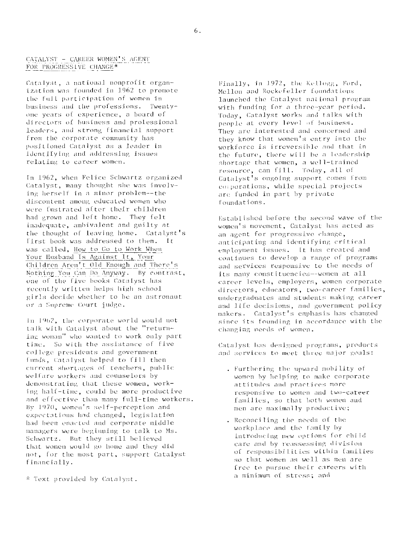#### CATALYST - CAREER WOMEN'S AGENT FOR PROGRESSIVE CHANGE\*

Catalyst, a national nonprofit organization was founded in 1962 to promote the full participation of women in business and the professions. Twentyone years of experience, a board of directors of business and prolessional leaders, and strong financial support from the corporate community has positioned Catalyst as a leader in identilying and addressing issues relating to career women.

In 1962, when Felice Schwartz organized Catalyst, many thought she was involving herself in a minor problem -- the discontent among educated women who were fustrated after their children had grown and left home. They felt inadequate, ambivalent and guilty at the thought of leaving home. Catalyst's Tirst book was addressed to them. It was called, How to Go to Work When Your Husband Is Against It, Your Children Aren't Old Enough and There's Nothing You Can Do Anyway. By contrast, one of the five books Catalyst has recently written helps high school girls decide whether to be an astronaut or a Supreme Court judge.

In 1962, the corporate world would not talk with Catalyst about the "returning woman" who wanted to work only part time. So with the assistance of five college presidents and government funds, Catalyst helped to fill then current shortages of teachers, public welfare workers and counselors by demonstrating that these women, working half-time, could be more productive and effective than many full-time workers. By 1970, women's self-perception and expectations had changed, legislation had been enacted and corporate middle managers were beginning to talk to Ms. Schwartz. But they still believed that women would go home and they did not, for the most part, support Catalyst financially.

\* Text provided by Catalyst.

Finally, in 1972, the Kellogg, Ford, Mellon and Rockefeller foundations launched the Catalyst national program with funding for a three-year period. Today, Catalyst works and talks with people at every level of business. They are interested and concerned and they know that women's entry into the workforce is irreversible and that in the future, there will be a leadership shortage that women, a well-trained resource, can fill. Today, all of Catalyst's ongoing support comes from corporations, while special projects are funded in part by private foundations.

Established before the second wave of the women's movement, Catalyst has acted as an agent for progressive change, anticipating and identifying critical employment issues. It has created and continues to develop a range of programs and services responsive to the needs of its many constituencies--women at all career levels, employers, women corporate directors, educators, two-career families, undergraduates and students making career and life decisions, and government policy makers. Catalyst's emphasis has changed since its founding in accordance with the changing needs of women.

Catalyst has designed programs, products and services to meet three major goals:

- . Furthering the upward mobility of women by helping to make corporate attitudes and practices more responsive to women and two-career families, so that both women and men are maximally productive;
- . Reconciling the needs of the workplace and the family by introducing new options for child care and by reassessing division of responsibilities within families so that women as well as men are free to pursue their careers with a minimum of stress; and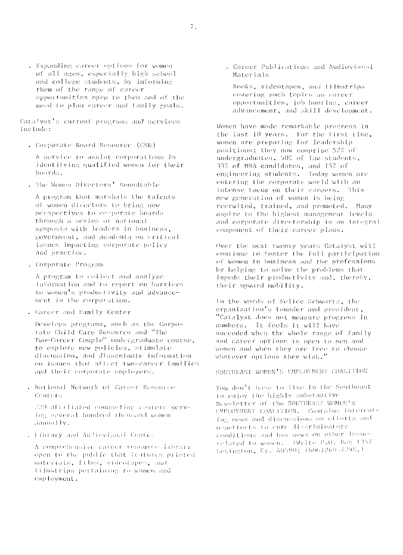. Expanding career options for women of all ages, especially high school and college students, by informing them of the range of career opportunities open to them and of the need to plan career and family goals.

Catalyst's current programs and services include:

. Corporate Board Resource (CBR)

A service to assist corporations in identifying qualified women for their boards.

. The Women Directors' Roundtable

A program that marshals the talents of women directors to bring new perspectives to comporate boards through a series of national symposia with leaders in business, government, and academia on critical issues impacting corporate policy and practice.

. Corporate Program

A program to collect and analyze information and to report on barriers to women's productivity and advancement in the corporation.

. Career and Family Center

Develops programs, such as the Corporate Child Care Resource and "The Two-Career Couple" undergraduate course, to explore new policies, stimulate discussion, and disseminate information on issues that affect two-career families and their corporate employers.

. National Network of Career Resource Conters

220 affilinted counseling centers serving several hundred thousand women. aanually.

. Library and Audievisual Center

A comprehensive career resource library open to the public that features printed materials, films, videotapes, and filmstrips pertaining to women and employment.

. Career Publications and Audiovisual Materials

Books, videotapes, and filmstrips covering such topics as career opportunities, job huntiug, career advancement, and skill development.

Women have made remarkable progress in the last 10 years. For the first time, women are preparing for leadership positions; they now comprise 52% of undergraduates, 50% of law students, 33% of MBA candidates, and 15% of engineering students. Today women are entering the corporate world with an intense focus on their careers. This new generation of women is being recruited, trained, and promoted. Many aspire to the highest management levels and corporate directorship is an integral component of their career plans.

Over the next twenty years Catalyst will continue to foster the full participation of women in business and the professions by helping to solve the problems that impede their productivity and, thereby, their upward mobility.

In the words of Felice Schwartz, the organization's founder and president, "Catalyst does not measure progress in numbers. It feels it will have succeded when the whole range of family and career options is open to men and women and when they are free to choose whatever options they wish."

SOUTHEAST WOMEN'S EMPLOYMENT COALITION

You don't have to live in the Southeast to enjoy the highly substantive Newsletter of the SOUTHEAST WOMEN'S EMPLOYMENT COALITION. Contains interesting news and discussions on efforts and nenefforts to cure discriminatory conditions and has news on other issues. related to women. (Write P.O. Box 1357 Lexington, Ky. 40590; (606)269-7298.)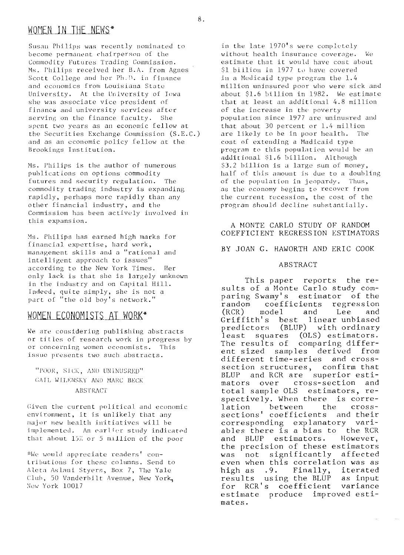# WOMEN IN THE NEWS\*

Susan Philips was recently nominated to become permanent chairperson of the Commodity Futures Trading Commission. Ms. Philips received her B.A. from Agnes Scott College and her Ph.D. in finance and economics from Louisiana State University. At the University of Iowa she was associate vice president of finance and university services after serving on the finance faculty. She spent two years as an economic fellow at the Securities Exchange Commission (S.E.C.) and as an economic policy fellow at the Brookings Institution.

Ms. Philips is the author of numerous publications on options commodity futures and security regulation. The commodity trading industry is expanding rapidly, perhaps more rapidly than any other financial industry, and the Commission has been actively involved in this expansion.

Ms. Philips has earned high marks for financial expertise, hard work, management skills and a "rational and intelligent approach to issues" according to the New York Times. Her only lack is that she is largely unknown in the industry and on Capital Hill. Indeed, quite simply, she is not a part of "the old boy's network."

## WOMEN ECONOMISTS AT WORK\*

We are considering publishing abstracts or titles of research work in progress by or concerning women economists. This issue presents two such abstracts.

## "POOR, SICK, AND UNINUSRED" GAIL WILENSKY AND MARC BECK **ABSTRACT**

Given the current political and economic environment, it is unlikely that any major new health initiatives will be implemented. An earlier study indicated that about 15% or 5 million of the poor

\*We would appreciate readers' contributions for these columns. Send to Aleta Aslani Styers, Box 7, The Yale Club, 50 Vanderbilt Avenue, New York, New York 10017

in the late 1970's were completely without health insurance coverage.  $W\alpha$ estimate that it would have cost about \$1 biilion in 1977 to have covered in a Medicaid type program the 1.4 million uninsured poor who were sick and about \$1.6 billion in 1982. We estimate that at least an additional 4.8 million of the increase in the poverty population since 1977 are uninusred and that about 30 percent or 1.4 million are likely to be in poor health. The cost of extending a Madicaid type program to this population would be an additional \$1.6 billion. Although \$3.2 billion is a large sum of money, half of this amount is due to a doubling of the population in jeopardy. Thus, as the economy begins to recover from the current recession, the cost of the program should decline substantially.

### A MONTE CARLO STUDY OF RANDOM COEFFICIENT REGRESSION ESTIMATORS

BY JOAN G. HAWORTH AND ERIC COOK

#### **ABSTRACT**

This paper reports the results of a Monte Carlo study comparing Swamy's estimator of the random coefficients regression model  $(RCR)$ and Lee and Griffith's linear unbiased best (BLUP) with ordinary predictors least squares (OLS) estimators. The results of comparing different sized samples derived from different time-series and crosssection structures, confirm that and RCR are superior esti-**BLUP** cross-section and mators over total sample OLS estimators, respectively. When there is correbetween lation the crosssections' coefficients and their corresponding explanatory variables there is a bias to the RCR estimators. and BLUP However, the precision of these estimators not significantly affected was even when this correlation was as Finally, high as  $.9.$ iterated results using the BLUP as input for RCR's coefficient variance estimate produce improved estimates.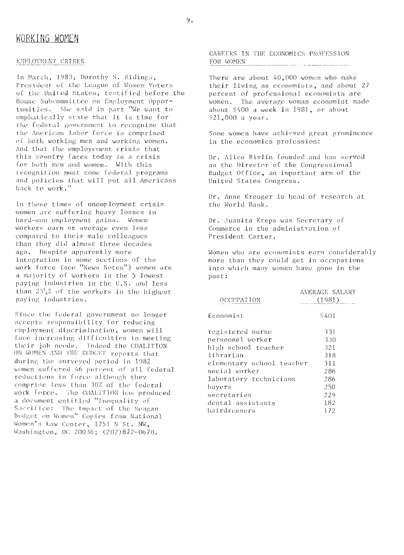#### EMPLOYMENT CRISES

In March, 1983, Dorothy S. Ridings, President of the League of Women Voters of the United States, testified before the House Subcommittee on Employment Opportunities. She said in part "We want to emphatically state that it is time for the federal government to recognize that the American labor force is comprised of both working men and working women. And that the employement crisis that this country faces today is a crisis for both men and women. With this recognition must come federal programs and policies that will put all Americans back to work."

In these times of unemployment crisis women are suffering heavy losses in hard-won employment gains. Women workers earn or average even less compared to their male colleagues than they did almost three decades ago. Despite apparently more integration in some sections of the work force (see "News Notes") women are a majority of workers in the 5 lowest paying industries in the U.S. and less than 25'2% of the workers in the highest paying industries.

Since the federal government no longer accepts responsibility for reducing employment discrimination, women will face increasing difficulties in meeting their job needs. Indeed the COALITION ON WOMEN AND THE BUDGET reports that during the surveyed period in 1982 women suffered 46 percent of all federal reductions in force although they comprise less than 30% of the federal work force. The COALITION has produced a document entitled "Inequality of Sacrifice: The Impact of the Reagan Budget on Women" Copies from National Women's Law Center, 1751 N St. NW. Washington, DC 20036; (202)872-0670.

CAREERS IN THE ECONOMICS PROFESSION FOR WOMEN 

There are about 40,000 women who make their living as economists, and about 27 percent of professional economists are women. The average woman economist made about \$400 a week in 1981, or about \$21,000 a year.

Some women have achieved great prominence in the economics profession:

Dr. Alice Rivlin founded and has served as the Director of the Congressional Budget Office, an important arm of the United States Congress.

Dr. Anne Kreuger is head of research at the World Bank.

Dr. Juanita Kreps was Secretary of Commerce in the administration of President Carter.

Women who are economists earn considerably more than they could get in occupations into which many women have gone in the past:

|                           | AVERAGE SALARY |  |  |
|---------------------------|----------------|--|--|
| OCCEPATION                | (1981)         |  |  |
| Economist                 | \$401          |  |  |
| registered nurse          | 331            |  |  |
| personnel worker          | 330            |  |  |
| high school teacher       | 321            |  |  |
| librarian                 | 318            |  |  |
| elementary school teacher | 311            |  |  |
| social worker             | 286            |  |  |
| laboratory technicians    | 286            |  |  |
| buyers                    | 250            |  |  |
| secretaries               | 229            |  |  |
| dental assistants         | 182            |  |  |
| hairdressers              | 1.72           |  |  |
|                           |                |  |  |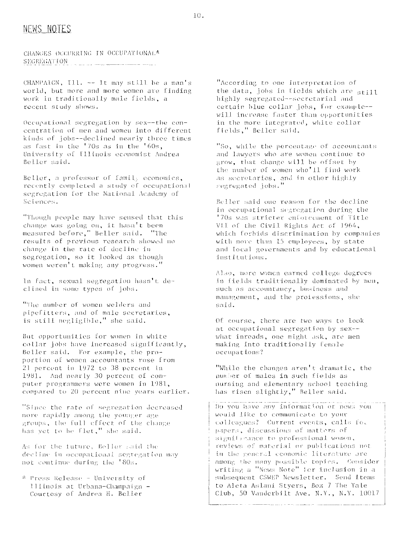## NEWS NOTES

CHANGES OCCURRING IN OCCUPATIONAL\* **SEGREGATION**  $\label{eq:3} \mathcal{L} = \mathcal{L} \mathcal{L} \mathcal{L} \mathcal{L} \mathcal{L} \mathcal{L} \mathcal{L} \mathcal{L} \mathcal{L} \mathcal{L} \mathcal{L} \mathcal{L} \mathcal{L} \mathcal{L} \mathcal{L} \mathcal{L} \mathcal{L} \mathcal{L} \mathcal{L} \mathcal{L} \mathcal{L} \mathcal{L} \mathcal{L} \mathcal{L} \mathcal{L} \mathcal{L} \mathcal{L} \mathcal{L} \mathcal{L} \mathcal{L} \mathcal{L} \mathcal{L} \mathcal{L} \mathcal{L} \math$ 

CHAMPALCN, Ill. -- It may still be a man's world, but more and more women are finding work in traditionally male fields, a recent study shows.

Occupational segregation by sex--the concentration of men and women into different kinds of jobs--declined nearly three times as fast in the '70s as in the '60s, University of Illinois economist Andrea Beller said.

Beller, a professor of family economics, recently completed a study of occupational segregation for the National Academy of Sciences.

"Though people may have sensed that this change was going on, it hasn't been measured before," Beller said. "The results of previous research showed no change in the rate of decline in segregation, so it looked as though women weren't making any progress."

In fact, sexual segregation hasn't declined in some types of jobs.

"The number of women welders and pipefitters, and of male secretaries, is still negligible," she said.

But opportunities for women in white collar jobs have increased significantly, Beller said. For example, the proportion of women accountants rose from 21 percent in 1972 to 38 percent in 1981. And nearly 30 percent of computer programmers were women in 1981, compared to 20 percent nine years earlier.

"Since the rate of segregation decreased more rapidly among the younger age groups, the full effect of the change has yet to be flet," she said.

As for the future, Beller said the decline in occupational segregation may not continue during the '80s.

\* Press Release - University of Illinois at Urbana-Champaign -Courtesy of Andrea H. Beller

"According to one interpretation of the data, jobs in fields which are still highly segregated -- secretarial and certain blue collar jobs, for example-will increase faster than opportunities in the more integrated, white collar fields," Beller said.

"So, while the percentage of accountants and lawyers who are women continue to grow, that change will be offset by the number of women who'll find work as secretaries, and in other highly segregated jobs.'

Beller said one reason for the decline in occupational segregation during the '70s was stricter enforcement of Title VII of the Civil Rights Act of 1964, which forbids discrimination by companies with move than 15 employees, by state and local governments and by educational institutions.

Also, more women earned college degrees in fields traditionally dominated by men, such as accountancy, business and management, and the proiessions, she said.

Of course, there are two ways to look at occupational segregation by sex-what inroads, one might ask, are men making into traditionally female occupations?

"While the changes aren't dramatic, the number of males in such fields as nursing and elementary school teaching has risen slightly," Beller said.

Do you have any information or news you would like to communicate to your colleagues? Current events, calls for papers, discussions of matters of significance to professional women, reviews of material or publications not in the general economic literature are among the many possible topics. Consider writing a "News Note" for inclusion in a subsequent CSWEP Newsletter. Send items to Aleta Aslani Styers, Box 7 The Yale Club, 50 Vanderbilt Ave. N.Y., N.Y. 10017

 $10.$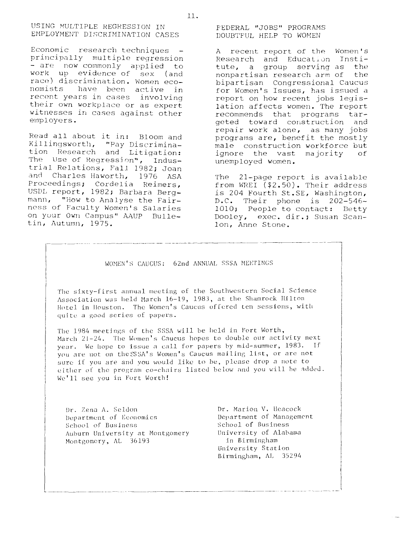Economic research techniques principally multiple regression - are now commonly applied to work up evidence of sex (and race) discrimination. Women economists have been active in recent years in cases involving their own workplace or as expert witnesses in cases against other employers.

Read all about it in: Bloom and Killingsworth, "Pay Discriminaand Litigation: tion Research The Use of Regression", Industrial Relations, Fall 1982; Joan and Charles Haworth, 1976 ASA Proceedings; Cordelia Reimers, USDL report, 1982; Barbara Bergmann, "How to Analyse the Fairness of Faculty Women's Salaries on your Own Campus" AAUP Bulletin, Autumn, 1975.

FEDERAL "JOBS" PROGRAMS DOUBTFUL HELP TO WOMEN

A recent report of the Women's Research and Education Institute, a group serving as the nonpartisan research arm of the bipartisan Congressional Caucus for Women's Issues, has issued a report on how recent jobs legislation affects women. The report recommends that programs targeted toward construction and repair work alone, as many jobs programs are, benefit the mostly male construction workforce but ignore the vast majority  $\circ$  f unemployed women.

The 21-page report is available from WREI  $( $2.50)$ . Their address is 204 Fourth St.SE, Washington,  $D.C.$  Their phone is 202-546-1010; People to contact: Betty Dooley, exec. dir.; Susan Scanlon, Anne Stone.

WOMEN'S CAUCUS: 62nd ANNUAL SSSA MEETINGS

The sixty-first annual meeting of the Southwestern Social Science Association was held March 16-19, 1983, at the Shamrock Hilton Hotel in Houston. The Women's Caucus offered ten sessions, with quite a good series of papers.

The 1984 meetings of the SSSA will be held in Fort Worth, March 21-24. The Women's Caucus hopes to double our activity next year. We hope to issue a call for papers by mid-summer, 1983. If you are not on the SSA's Women's Caucus mailing list, or are not sure if you are and you would like to be, please drop a note to either of the program co-chairs listed below and you will be added. We'll see you in Fort Worth!

Dr. Zena A. Seldon Department of Economics School of Business Auburn University at Montgomery Montgomery, AL 36193

Dr. Marion V. Heacock Department of Management School of Business University of Alabama in Birmingham University Station Birmingham, AL 35294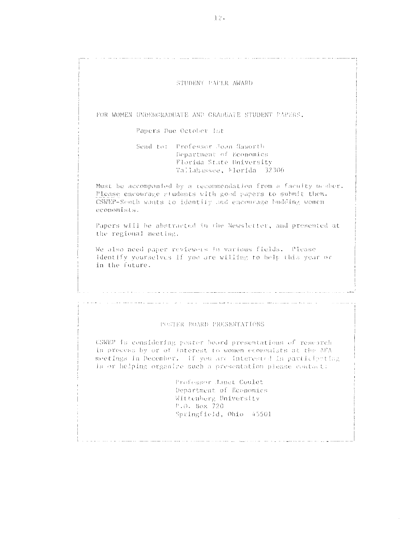#### STUDENT PAPER AWARD

FOR WOMEN UNDERGRADUATE AND GRADUATE STUDENT PAPERS.

Papers Due October 1st

Send to: Professor Joan Gaworth Department of Reonomics Florida State University Tallahassee, Florida 32306

Must be accompanied by a tecommendation from a faculty member. Please encourage students with good papers to submit them. CSWEP-South wants to identify and encourage budding women economists.

Papers will be abstracted in the Newsletter, and presented at the regional meeting.

We also need paper reviewers in various fields. Please identify yourselves if you are willing to belp this year or in the future.

#### POSTER BOARD PRESENTATIONS

a provincia de la construcción de la construcción de la construcción de la construcción de la construcción de

a participa de la caractería de la caractería de la caractería de la caractería de la caractería de la caracter

CSWEP is considering poster board presentations of research in process by or of interest to women economists at the AFA meetings in December. If you are interested in participating in or helping organize such a presentation please contact:

> Professor Junet Coulet Department of Economics Wittenberg University P.O. Box 720 Springfield, Ohio 45501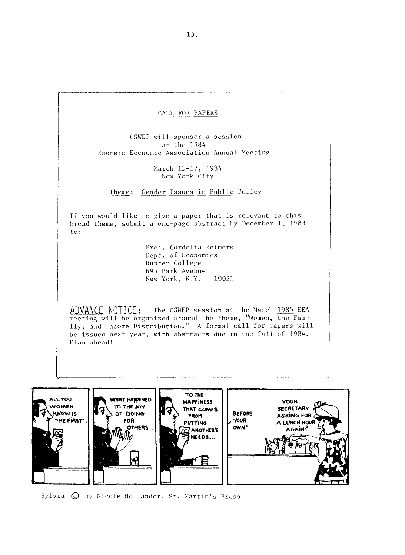CALL FOR PAPERS

CSWEP will sponsor a session at the 1984 Eastern Economic Association Annual Meeting

> March 15-17, 1984 New York City

Theme: Gender Issues in Public Policy

If you would like to give a paper that is relevant to this broad theme, submit a one-page abstract by December 1, 1983 Lo :

> Prof. Cordelia Reimers Dept. of Economics Hunter College 695 Park Avenue New York, N.Y. 10021

The CSWEP session at the March 1985 EEA meeting will be organized around the theme, "Women, the Family, and Income Distribution." A formal call for papers will be issued next year, with abstracts due in the fall of 1984. ily, a<br>be iss<br><u>Plan</u> a ADVANCE NOTICE:<br>meeting will be org<br>ily, and Income Dis<br>be issued next year<br>Plan ahead!



Sylvia  $\odot$  by Nicole Hollander, St. Martin's Press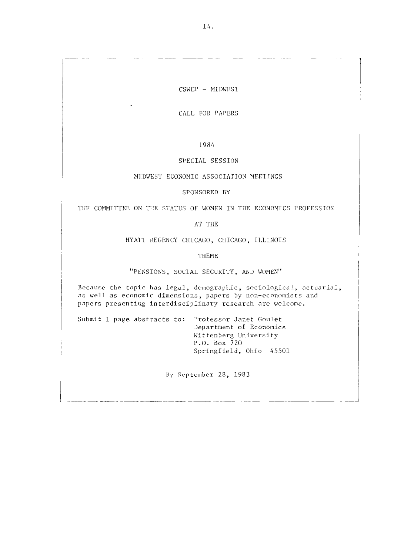## CSWEP - MIDWEST

CALL FOR PAPERS

1984

#### SPECIAL SESSION

#### MIDWEST ECONOMIC ASSOCIATION MEETINGS

SPONSORED BY

THE COMMITTEE ON THE STATUS OF WOMEN IN THE ECONOMICS PROFESSION

AT THE

HYATT REGENCY CHICAGO, CHICAGO, ILLINOIS

'I HEME

"PENSIONS, SOCIAL SECURITY, AND WOMEN"

Because the topic has legal, demographic, sociological, actuarial, as well as economic dimensions, papers by non-economists and papers presenting interdisciplinary research are welcome.

Submit 1 page abstracts to: Professor Janet Goulet Department of Economics Wittenberg University P.O. Box 720 Springfield, Ohio 45501

By September 28, 1983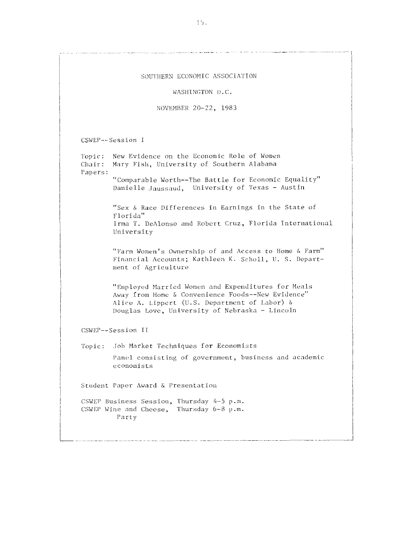SOUTHERN ECONOMIC ASSOCIATION WASHINGTON D.C. NOVEMBER 20-22, 1983 CSWEP--Session I New Evidence on the Economic Role of Women Topic: Mary Fish, University of Southern Alabama Chair: Papers: "Comparable Worth--The Battle for Economic Equality" Danielle Jaussaud, University of Texas - Austin "Sex & Race Differences in Earnings in the State of Florida" Irma T. DeAlonso and Robert Cruz, Florida International University "Farm Women's Ownership of and Access to Home & Farm" Financial Accounts; Kathleen K. Scholl, U. S. Department of Agriculture "Employed Married Women and Expenditures for Meals Away from Home & Convenience Foods--New Evidence" Alice A. Lippert (U.S. Department of Labor) & Douglas Love, University of Nebraska - Lincoln CSWEP--Session II Topic: Job Market Techniques for Economists Panel consisting of government, business and academic economists Student Paper Award & Presentation CSWEP Business Session, Thursday 4-5 p.m. CSWEP Wine and Cheese, Thursday 6-8 p.m. Party